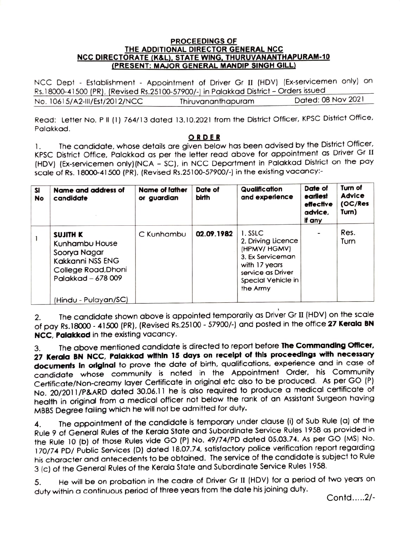## PROCEEDINGS OF THE ADDITIONAL DIRECTOR GENERAL NCC NCC DIRECTORATE (K&L), STATE WING, THURUVANANTHAPURAM-10 (PRESENT: MAJOR GENERAL MANDIP SINGH GILL

NCC Dept - Establishment - Appointment of Driver Gr II (HDV) (Ex-servicemen only) on Rs.18000-41 500 (PR). (Revised Rs.25100-57900/-) in Palakkad District-Orders issued No. 10615/A2-III/Est/2012/NCC

Read: Letter No. P II (1) 764/13 dated 13.10.2021 from the District Officer, KPSC District Office, Palakkad.

ORDER<br>The candidate, whose details are given below has been advised by the District Officer, KPSC District Office, Palakkad as per the letter read above for appointment as Driver Gr (HDV) (Ex-servicemen only) (NCA - SC), in NCC Department in Palakkad District on the pay scale of Rs. 18000-41 500 (PR). (Revised Rs.25100-57900/-) in the existing vacaney' 1.

| sı<br>No | Name and address of<br>candidate                                                                            | Name of father<br>or guardian | Date of<br>birth | Qualification<br>and experience                                                                                                          | Date of<br>earliest<br>effective<br>advice,<br>if any | Turn of<br>Advice<br>(OC/Res<br>Turn) |
|----------|-------------------------------------------------------------------------------------------------------------|-------------------------------|------------------|------------------------------------------------------------------------------------------------------------------------------------------|-------------------------------------------------------|---------------------------------------|
|          | SUJITH K<br>Kunhambu House<br>Soorya Nagar<br>Kakkanni NSS ENG<br>College Road, Dhoni<br>Palakkad - 678 009 | C Kunhambu                    | 02.09.1982       | 1. SSLC<br>2. Driving Licence<br>(HPMV/HGMV)<br>3. Ex Serviceman<br>with 17 years<br>service as Driver<br>Special Vehicle in<br>the Army |                                                       | Res.<br>Turn                          |
|          | (Hindu - Pulayan/SC)                                                                                        |                               |                  |                                                                                                                                          |                                                       |                                       |

2. The candidate shown above is appointed temporarily as Driver Gr II (HDV) on the scale of pay Rs.18000 - 41500 (PR), (Revised Rs.25100 - 57900/-) and posted in the office 27 Kerala BN NCC, Palakkad in the existing vacancy.

3. The above mentioned candidate is directed to report before The Commanding Officer, 27 Kerala BN NCC, Palakkad within 15 days on recelpt of thls proceedlngs with necessary documents in original to prove the date of birth, qualifications, experience and in case of candidate whose community is noted in the Appointment Order, his Community Certificate/Non-creamy layer Certificate in original etc also to be produced. As per GO (P) No. 20/2011/P&ARD dated 30.06.11 he is also required to produce a medical certificate of health in original from a medical officer not below the rank of an Assistant Surgeon having MBBS Degree failing which he will not be admitted for duty.

4. The appointment of the candidate is temporary under clause (i) of Sub Rule (a) of the Rule 9 of General Rules of the Kerala State and Subordinate Service Rules 1958 as provided in the Rule 10 (b) of those Rules vide GO (P) No. 49/74/PD dated 05.03.74. As per GO (MS) No. 170/74 PD/ Public Services (D) dated 18.07.74, satisfactory police verification report regarding his character and antecedents to be obtained. The service of the candidate is subject to Rule 3 (c) of the General Rules of the Kerala State and Subordinate Service Rules 1958.

He will be on probation in the cadre of Driver Gr II (HDV) for a period of two years on duty within a continuous period of three years from the date his joining duty. 5.

Contd.....2/-